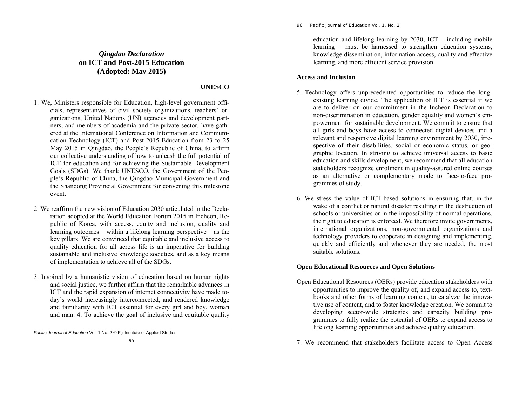# *Qingdao Declaration* **on ICT and Post-2015 Education (Adopted: May 2015)**

## **UNESCO**

- 1. We, Ministers responsible for Education, high-level government officials, representatives of civil society organizations, teachers' organizations, United Nations (UN) agencies and development partners, and members of academia and the private sector, have gathered at the International Conference on Information and Communication Technology (ICT) and Post-2015 Education from 23 to 25 May 2015 in Qingdao, the People's Republic of China, to affirm our collective understanding of how to unleash the full potential of ICT for education and for achieving the Sustainable Development Goals (SDGs). We thank UNESCO, the Government of the People's Republic of China, the Qingdao Municipal Government and the Shandong Provincial Government for convening this milestone event.
- 2. We reaffirm the new vision of Education 2030 articulated in the Declaration adopted at the World Education Forum 2015 in Incheon, Republic of Korea, with access, equity and inclusion, quality and learning outcomes – within a lifelong learning perspective – as the key pillars. We are convinced that equitable and inclusive access to quality education for all across life is an imperative for building sustainable and inclusive knowledge societies, and as a key means of implementation to achieve all of the SDGs.
- 3. Inspired by a humanistic vision of education based on human rights and social justice, we further affirm that the remarkable advances in ICT and the rapid expansion of internet connectivity have made today's world increasingly interconnected, and rendered knowledge and familiarity with ICT essential for every girl and boy, woman and man. 4. To achieve the goal of inclusive and equitable quality

*Pacific Journal of Education* Vol. 1 No. 2 © Fiji Institute of Applied Studies

96 *Pacific Journal of Education Vol. 1, No. 2* 

education and lifelong learning by 2030, ICT – including mobile learning – must be harnessed to strengthen education systems, knowledge dissemination, information access, quality and effective learning, and more efficient service provision.

### **Access and Inclusion**

- 5. Technology offers unprecedented opportunities to reduce the longexisting learning divide. The application of ICT is essential if we are to deliver on our commitment in the Incheon Declaration to non-discrimination in education, gender equality and women's empowerment for sustainable development. We commit to ensure that all girls and boys have access to connected digital devices and a relevant and responsive digital learning environment by 2030, irrespective of their disabilities, social or economic status, or geographic location. In striving to achieve universal access to basic education and skills development, we recommend that all education stakeholders recognize enrolment in quality-assured online courses as an alternative or complementary mode to face-to-face programmes of study.
- 6. We stress the value of ICT-based solutions in ensuring that, in the wake of a conflict or natural disaster resulting in the destruction of schools or universities or in the impossibility of normal operations, the right to education is enforced. We therefore invite governments, international organizations, non-governmental organizations and technology providers to cooperate in designing and implementing, quickly and efficiently and whenever they are needed, the most suitable solutions.

### **Open Educational Resources and Open Solutions**

- Open Educational Resources (OERs) provide education stakeholders with opportunities to improve the quality of, and expand access to, textbooks and other forms of learning content, to catalyze the innovative use of content, and to foster knowledge creation. We commit to developing sector-wide strategies and capacity building programmes to fully realize the potential of OERs to expand access to lifelong learning opportunities and achieve quality education.
- 7. We recommend that stakeholders facilitate access to Open Access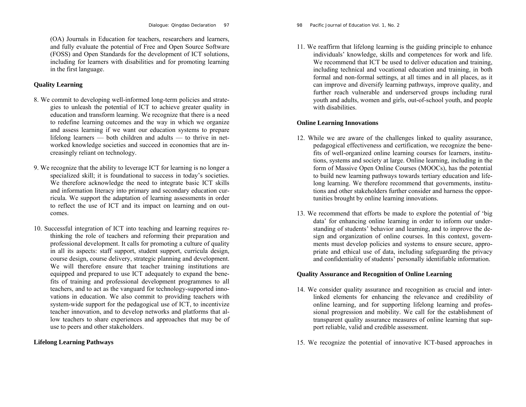(OA) Journals in Education for teachers, researchers and learners, and fully evaluate the potential of Free and Open Source Software (FOSS) and Open Standards for the development of ICT solutions, including for learners with disabilities and for promoting learning in the first language.

# **Quality Learning**

- 8. We commit to developing well-informed long-term policies and strategies to unleash the potential of ICT to achieve greater quality in education and transform learning. We recognize that there is a need to redefine learning outcomes and the way in which we organize and assess learning if we want our education systems to prepare lifelong learners — both children and adults — to thrive in networked knowledge societies and succeed in economies that are increasingly reliant on technology.
- 9. We recognize that the ability to leverage ICT for learning is no longer a specialized skill; it is foundational to success in today's societies. We therefore acknowledge the need to integrate basic ICT skills and information literacy into primary and secondary education curricula. We support the adaptation of learning assessments in order to reflect the use of ICT and its impact on learning and on outcomes.
- 10. Successful integration of ICT into teaching and learning requires rethinking the role of teachers and reforming their preparation and professional development. It calls for promoting a culture of quality in all its aspects: staff support, student support, curricula design, course design, course delivery, strategic planning and development. We will therefore ensure that teacher training institutions are equipped and prepared to use ICT adequately to expand the benefits of training and professional development programmes to all teachers, and to act as the vanguard for technology-supported innovations in education. We also commit to providing teachers with system-wide support for the pedagogical use of ICT, to incentivize teacher innovation, and to develop networks and platforms that allow teachers to share experiences and approaches that may be of use to peers and other stakeholders.

## **Lifelong Learning Pathways**

98 *Pacific Journal of Education Vol. 1, No. 2* 

11. We reaffirm that lifelong learning is the guiding principle to enhance individuals' knowledge, skills and competences for work and life. We recommend that ICT be used to deliver education and training, including technical and vocational education and training, in both formal and non-formal settings, at all times and in all places, as it can improve and diversify learning pathways, improve quality, and further reach vulnerable and underserved groups including rural youth and adults, women and girls, out-of-school youth, and people with disabilities.

### **Online Learning Innovations**

- 12. While we are aware of the challenges linked to quality assurance, pedagogical effectiveness and certification, we recognize the benefits of well-organized online learning courses for learners, institutions, systems and society at large. Online learning, including in the form of Massive Open Online Courses (MOOCs), has the potential to build new learning pathways towards tertiary education and lifelong learning. We therefore recommend that governments, institutions and other stakeholders further consider and harness the opportunities brought by online learning innovations.
- 13. We recommend that efforts be made to explore the potential of 'big data' for enhancing online learning in order to inform our understanding of students' behavior and learning, and to improve the design and organization of online courses. In this context, governments must develop policies and systems to ensure secure, appropriate and ethical use of data, including safeguarding the privacy and confidentiality of students' personally identifiable information.

## **Quality Assurance and Recognition of Online Learning**

- 14. We consider quality assurance and recognition as crucial and interlinked elements for enhancing the relevance and credibility of online learning, and for supporting lifelong learning and professional progression and mobility. We call for the establishment of transparent quality assurance measures of online learning that support reliable, valid and credible assessment.
- 15. We recognize the potential of innovative ICT-based approaches in